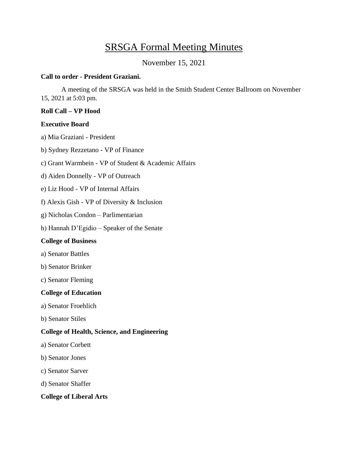# SRSGA Formal Meeting Minutes

## November 15, 2021

#### **Call to order - President Graziani.**

A meeting of the SRSGA was held in the Smith Student Center Ballroom on November 15, 2021 at 5:03 pm.

### **Roll Call – VP Hood**

#### **Executive Board**

- a) Mia Graziani President
- b) Sydney Rezzetano VP of Finance
- c) Grant Warmbein VP of Student & Academic Affairs
- d) Aiden Donnelly VP of Outreach
- e) Liz Hood VP of Internal Affairs
- f) Alexis Gish VP of Diversity & Inclusion
- g) Nicholas Condon Parlimentarian
- h) Hannah D'Egidio Speaker of the Senate

## **College of Business**

- a) Senator Battles
- b) Senator Brinker
- c) Senator Fleming

## **College of Education**

- a) Senator Froehlich
- b) Senator Stiles

## **College of Health, Science, and Engineering**

- a) Senator Corbett
- b) Senator Jones
- c) Senator Sarver
- d) Senator Shaffer

## **College of Liberal Arts**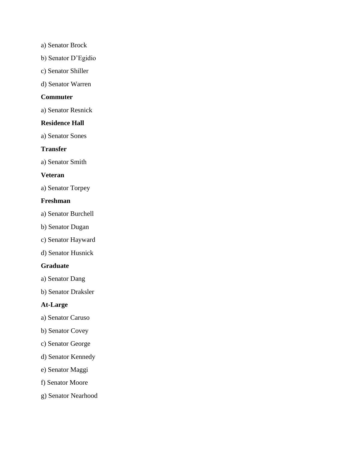a) Senator Brock

b) Senator D'Egidio

c) Senator Shiller

d) Senator Warren

#### **Commuter**

a) Senator Resnick

## **Residence Hall**

a) Senator Sones

#### **Transfer**

a) Senator Smith

#### **Veteran**

a) Senator Torpey

#### **Freshman**

a) Senator Burchell

- b) Senator Dugan
- c) Senator Hayward
- d) Senator Husnick

#### **Graduate**

a) Senator Dang

b) Senator Draksler

#### **At-Large**

- a) Senator Caruso
- b) Senator Covey
- c) Senator George
- d) Senator Kennedy
- e) Senator Maggi
- f) Senator Moore
- g) Senator Nearhood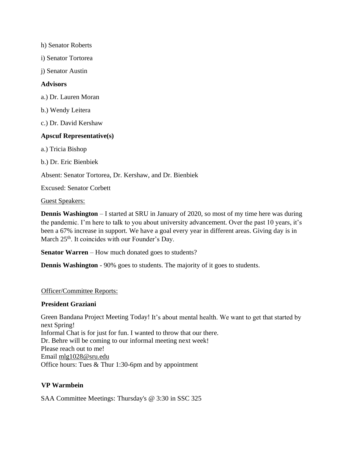h) Senator Roberts i) Senator Tortorea j) Senator Austin **Advisors**  a.) Dr. Lauren Moran b.) Wendy Leitera c.) Dr. David Kershaw **Apscuf Representative(s)**  a.) Tricia Bishop b.) Dr. Eric Bienbiek Absent: Senator Tortorea, Dr. Kershaw, and Dr. Bienbiek Excused: Senator Corbett

#### Guest Speakers:

**Dennis Washington** – I started at SRU in January of 2020, so most of my time here was during the pandemic. I'm here to talk to you about university advancement. Over the past 10 years, it's been a 67% increase in support. We have a goal every year in different areas. Giving day is in March 25<sup>th</sup>. It coincides with our Founder's Day.

**Senator Warren** – How much donated goes to students?

**Dennis Washington** - 90% goes to students. The majority of it goes to students.

#### Officer/Committee Reports:

#### **President Graziani**

Green Bandana Project Meeting Today! It's about mental health. We want to get that started by next Spring! Informal Chat is for just for fun. I wanted to throw that our there. Dr. Behre will be coming to our informal meeting next week! Please reach out to me! Email [mlg1028@sru.edu](mailto:mlg1028@sru.edu) Office hours: Tues & Thur 1:30-6pm and by appointment

#### **VP Warmbein**

SAA Committee Meetings: Thursday's @ 3:30 in SSC 325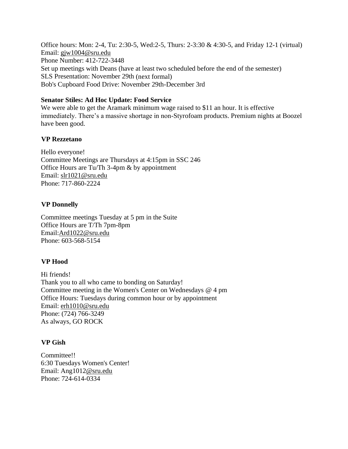Office hours: Mon: 2-4, Tu: 2:30-5, Wed:2-5, Thurs: 2-3:30 & 4:30-5, and Friday 12-1 (virtual) Email: [gjw1004@sru.edu](mailto:gjw1004@sru.edu) Phone Number: 412-722-3448 Set up meetings with Deans (have at least two scheduled before the end of the semester) SLS Presentation: November 29th (next formal) Bob's Cupboard Food Drive: November 29th-December 3rd

## **Senator Stiles: Ad Hoc Update: Food Service**

We were able to get the Aramark minimum wage raised to \$11 an hour. It is effective immediately. There's a massive shortage in non-Styrofoam products. Premium nights at Boozel have been good.

## **VP Rezzetano**

Hello everyone! Committee Meetings are Thursdays at 4:15pm in SSC 246 Office Hours are Tu/Th 3-4pm & by appointment Email: [slr1021@sru.edu](mailto:slr1021@sru.edu) Phone: 717-860-2224

## **VP Donnelly**

Committee meetings Tuesday at 5 pm in the Suite Office Hours are T/Th 7pm-8pm Email[:Ard1022@sru.edu](mailto:Ard1022@sru.edu) Phone: 603-568-5154

## **VP Hood**

Hi friends! Thank you to all who came to bonding on Saturday! Committee meeting in the Women's Center on Wednesdays @ 4 pm Office Hours: Tuesdays during common hour or by appointment Email: [erh1010@sru.edu](mailto:erh1010@sru.edu) Phone: (724) 766-3249 As always, GO ROCK

## **VP Gish**

Committee!! 6:30 Tuesdays Women's Center! Email: Ang101[2@sru.edu](mailto:Ard1022@sru.edu) Phone: 724-614-0334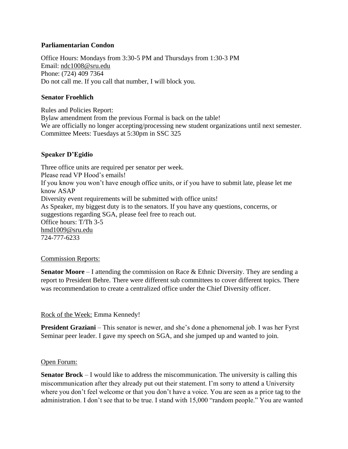#### **Parliamentarian Condon**

Office Hours: Mondays from 3:30-5 PM and Thursdays from 1:30-3 PM Email: [ndc1008@sru.edu](mailto:ndc1008@sru.edu) Phone: (724) 409 7364 Do not call me. If you call that number, I will block you.

#### **Senator Froehlich**

Rules and Policies Report: Bylaw amendment from the previous Formal is back on the table! We are officially no longer accepting/processing new student organizations until next semester. Committee Meets: Tuesdays at 5:30pm in SSC 325

## **Speaker D'Egidio**

Three office units are required per senator per week. Please read VP Hood's emails! If you know you won't have enough office units, or if you have to submit late, please let me know ASAP Diversity event requirements will be submitted with office units! As Speaker, my biggest duty is to the senators. If you have any questions, concerns, or suggestions regarding SGA, please feel free to reach out. Office hours: T/Th 3-5 [hmd1009@sru.edu](mailto:hmd1009@sru.edu) 724-777-6233

#### Commission Reports:

**Senator Moore** – I attending the commission on Race & Ethnic Diversity. They are sending a report to President Behre. There were different sub committees to cover different topics. There was recommendation to create a centralized office under the Chief Diversity officer.

#### Rock of the Week: Emma Kennedy!

**President Graziani** – This senator is newer, and she's done a phenomenal job. I was her Fyrst Seminar peer leader. I gave my speech on SGA, and she jumped up and wanted to join.

#### Open Forum:

**Senator Brock** – I would like to address the miscommunication. The university is calling this miscommunication after they already put out their statement. I'm sorry to attend a University where you don't feel welcome or that you don't have a voice. You are seen as a price tag to the administration. I don't see that to be true. I stand with 15,000 "random people." You are wanted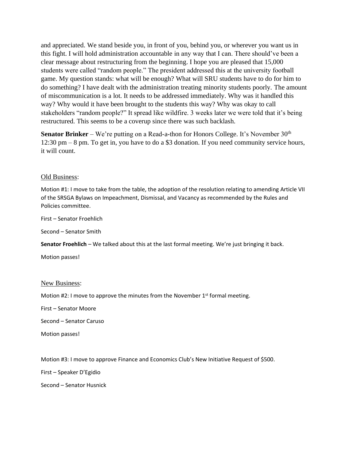and appreciated. We stand beside you, in front of you, behind you, or wherever you want us in this fight. I will hold administration accountable in any way that I can. There should've been a clear message about restructuring from the beginning. I hope you are pleased that 15,000 students were called "random people." The president addressed this at the university football game. My question stands: what will be enough? What will SRU students have to do for him to do something? I have dealt with the administration treating minority students poorly. The amount of miscommunication is a lot. It needs to be addressed immediately. Why was it handled this way? Why would it have been brought to the students this way? Why was okay to call stakeholders "random people?" It spread like wildfire. 3 weeks later we were told that it's being restructured. This seems to be a coverup since there was such backlash.

**Senator Brinker** – We're putting on a Read-a-thon for Honors College. It's November 30<sup>th</sup> 12:30 pm – 8 pm. To get in, you have to do a \$3 donation. If you need community service hours, it will count.

#### Old Business:

Motion #1: I move to take from the table, the adoption of the resolution relating to amending Article VII of the SRSGA Bylaws on Impeachment, Dismissal, and Vacancy as recommended by the Rules and Policies committee.

First – Senator Froehlich

Second – Senator Smith

**Senator Froehlich** – We talked about this at the last formal meeting. We're just bringing it back.

Motion passes!

#### New Business:

Motion #2: I move to approve the minutes from the November  $1<sup>st</sup>$  formal meeting.

First – Senator Moore

Second – Senator Caruso

Motion passes!

Motion #3: I move to approve Finance and Economics Club's New Initiative Request of \$500.

First – Speaker D'Egidio

Second – Senator Husnick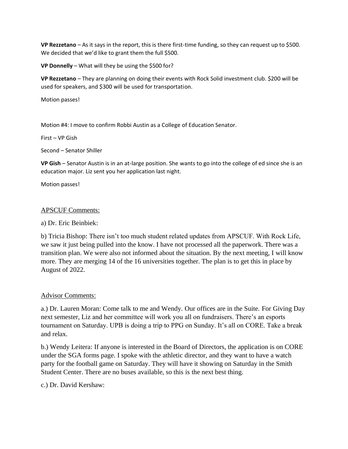**VP Rezzetano** – As it says in the report, this is there first-time funding, so they can request up to \$500. We decided that we'd like to grant them the full \$500.

**VP Donnelly** – What will they be using the \$500 for?

**VP Rezzetano** – They are planning on doing their events with Rock Solid investment club. \$200 will be used for speakers, and \$300 will be used for transportation.

Motion passes!

Motion #4: I move to confirm Robbi Austin as a College of Education Senator.

First – VP Gish

Second – Senator Shiller

**VP Gish** – Senator Austin is in an at-large position. She wants to go into the college of ed since she is an education major. Liz sent you her application last night.

Motion passes!

#### APSCUF Comments:

a) Dr. Eric Beinbiek:

b) Tricia Bishop: There isn't too much student related updates from APSCUF. With Rock Life, we saw it just being pulled into the know. I have not processed all the paperwork. There was a transition plan. We were also not informed about the situation. By the next meeting, I will know more. They are merging 14 of the 16 universities together. The plan is to get this in place by August of 2022.

#### Advisor Comments:

a.) Dr. Lauren Moran: Come talk to me and Wendy. Our offices are in the Suite. For Giving Day next semester, Liz and her committee will work you all on fundraisers. There's an esports tournament on Saturday. UPB is doing a trip to PPG on Sunday. It's all on CORE. Take a break and relax.

b.) Wendy Leitera: If anyone is interested in the Board of Directors, the application is on CORE under the SGA forms page. I spoke with the athletic director, and they want to have a watch party for the football game on Saturday. They will have it showing on Saturday in the Smith Student Center. There are no buses available, so this is the next best thing.

c.) Dr. David Kershaw: